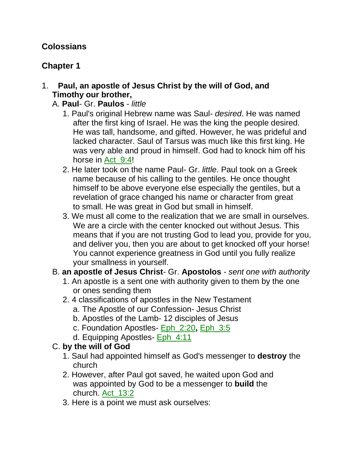# **Colossians**

# **Chapter 1**

### 1. **Paul, an apostle of Jesus Christ by the will of God, and Timothy our brother,**

- A. **Paul** Gr. **Paulos** *little*
	- 1. Paul's original Hebrew name was Saul- *desired*. He was named after the first king of Israel. He was the king the people desired. He was tall, handsome, and gifted. However, he was prideful and lacked character. Saul of Tarsus was much like this first king. He was very able and proud in himself. God had to knock him off his horse in Act 9:4!
	- 2. He later took on the name Paul- Gr. *little*. Paul took on a Greek name because of his calling to the gentiles. He once thought himself to be above everyone else especially the gentiles, but a revelation of grace changed his name or character from great to small. He was great in God but small in himself.
	- 3. We must all come to the realization that we are small in ourselves. We are a circle with the center knocked out without Jesus. This means that if you are not trusting God to lead you, provide for you, and deliver you, then you are about to get knocked off your horse! You cannot experience greatness in God until you fully realize your smallness in yourself.
- B. **an apostle of Jesus Christ** Gr. **Apostolos** *sent one with authority*
	- 1. An apostle is a sent one with authority given to them by the one or ones sending them
	- 2. 4 classifications of apostles in the New Testament
		- a. The Apostle of our Confession- Jesus Christ
		- b. Apostles of the Lamb- 12 disciples of Jesus
		- c. Foundation Apostles- Eph\_2:20**,** Eph\_3:5
		- d. Equipping Apostles- Eph\_4:11

# C. **by the will of God**

- 1. Saul had appointed himself as God's messenger to **destroy** the church
- 2. However, after Paul got saved, he waited upon God and was appointed by God to be a messenger to **build** the church. Act 13:2
- 3. Here is a point we must ask ourselves: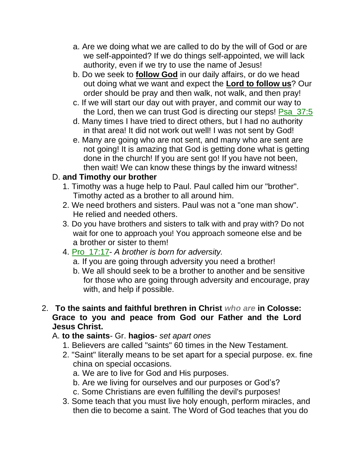- a. Are we doing what we are called to do by the will of God or are we self-appointed? If we do things self-appointed, we will lack authority, even if we try to use the name of Jesus!
- b. Do we seek to **follow God** in our daily affairs, or do we head out doing what we want and expect the **Lord to follow us**? Our order should be pray and then walk, not walk, and then pray!
- c. If we will start our day out with prayer, and commit our way to the Lord, then we can trust God is directing our steps! Psa\_37:5
- d. Many times I have tried to direct others, but I had no authority in that area! It did not work out well! I was not sent by God!
- e. Many are going who are not sent, and many who are sent are not going! It is amazing that God is getting done what is getting done in the church! If you are sent go! If you have not been, then wait! We can know these things by the inward witness!

# D. **and Timothy our brother**

- 1. Timothy was a huge help to Paul. Paul called him our "brother". Timothy acted as a brother to all around him.
- 2. We need brothers and sisters. Paul was not a "one man show". He relied and needed others.
- 3. Do you have brothers and sisters to talk with and pray with? Do not wait for one to approach you! You approach someone else and be a brother or sister to them!
- 4. Pro\_17:17- *A brother is born for adversity.*
	- a. If you are going through adversity you need a brother!
	- b. We all should seek to be a brother to another and be sensitive for those who are going through adversity and encourage, pray with, and help if possible.
- 2. **To the saints and faithful brethren in Christ** *who are* **in Colosse: Grace to you and peace from God our Father and the Lord Jesus Christ.**

# A. **to the saints**- Gr. **hagios**- *set apart ones*

- 1. Believers are called "saints" 60 times in the New Testament.
- 2. "Saint" literally means to be set apart for a special purpose. ex. fine china on special occasions.
	- a. We are to live for God and His purposes.
	- b. Are we living for ourselves and our purposes or God's?
	- c. Some Christians are even fulfilling the devil's purposes!
- 3. Some teach that you must live holy enough, perform miracles, and then die to become a saint. The Word of God teaches that you do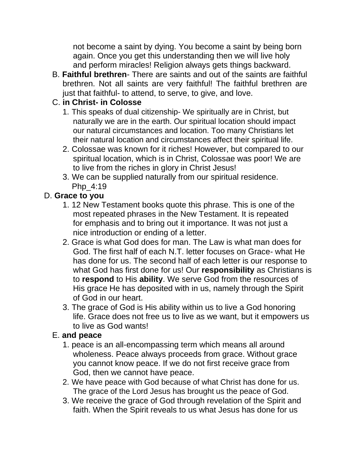not become a saint by dying. You become a saint by being born again. Once you get this understanding then we will live holy and perform miracles! Religion always gets things backward.

B. **Faithful brethren**- There are saints and out of the saints are faithful brethren. Not all saints are very faithful! The faithful brethren are just that faithful- to attend, to serve, to give, and love.

## C. **in Christ- in Colosse**

- 1. This speaks of dual citizenship- We spiritually are in Christ, but naturally we are in the earth. Our spiritual location should impact our natural circumstances and location. Too many Christians let their natural location and circumstances affect their spiritual life.
- 2. Colossae was known for it riches! However, but compared to our spiritual location, which is in Christ, Colossae was poor! We are to live from the riches in glory in Christ Jesus!
- 3. We can be supplied naturally from our spiritual residence. Php\_4:19

# D. **Grace to you**

- 1. 12 New Testament books quote this phrase. This is one of the most repeated phrases in the New Testament. It is repeated for emphasis and to bring out it importance. It was not just a nice introduction or ending of a letter.
- 2. Grace is what God does for man. The Law is what man does for God. The first half of each N.T. letter focuses on Grace- what He has done for us. The second half of each letter is our response to what God has first done for us! Our **responsibility** as Christians is to **respond** to His **ability**. We serve God from the resources of His grace He has deposited with in us, namely through the Spirit of God in our heart.
- 3. The grace of God is His ability within us to live a God honoring life. Grace does not free us to live as we want, but it empowers us to live as God wants!

## E. **and peace**

- 1. peace is an all-encompassing term which means all around wholeness. Peace always proceeds from grace. Without grace you cannot know peace. If we do not first receive grace from God, then we cannot have peace.
- 2. We have peace with God because of what Christ has done for us. The grace of the Lord Jesus has brought us the peace of God.
- 3. We receive the grace of God through revelation of the Spirit and faith. When the Spirit reveals to us what Jesus has done for us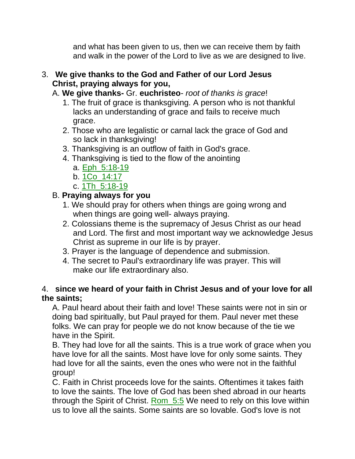and what has been given to us, then we can receive them by faith and walk in the power of the Lord to live as we are designed to live.

## 3. **We give thanks to the God and Father of our Lord Jesus Christ, praying always for you,**

A. **We give thanks-** Gr. **euchristeo**- *root of thanks is grace*!

- 1. The fruit of grace is thanksgiving. A person who is not thankful lacks an understanding of grace and fails to receive much grace.
- 2. Those who are legalistic or carnal lack the grace of God and so lack in thanksgiving!
- 3. Thanksgiving is an outflow of faith in God's grace.
- 4. Thanksgiving is tied to the flow of the anointing
	- a. Eph\_5:18-19
	- b. 1Co\_14:17
	- c. 1Th\_5:18-19

# B. **Praying always for you**

- 1. We should pray for others when things are going wrong and when things are going well- always praying.
- 2. Colossians theme is the supremacy of Jesus Christ as our head and Lord. The first and most important way we acknowledge Jesus Christ as supreme in our life is by prayer.
- 3. Prayer is the language of dependence and submission.
- 4. The secret to Paul's extraordinary life was prayer. This will make our life extraordinary also.

## 4. **since we heard of your faith in Christ Jesus and of your love for all the saints;**

A. Paul heard about their faith and love! These saints were not in sin or doing bad spiritually, but Paul prayed for them. Paul never met these folks. We can pray for people we do not know because of the tie we have in the Spirit.

B. They had love for all the saints. This is a true work of grace when you have love for all the saints. Most have love for only some saints. They had love for all the saints, even the ones who were not in the faithful group!

C. Faith in Christ proceeds love for the saints. Oftentimes it takes faith to love the saints. The love of God has been shed abroad in our hearts through the Spirit of Christ. Rom 5:5 We need to rely on this love within us to love all the saints. Some saints are so lovable. God's love is not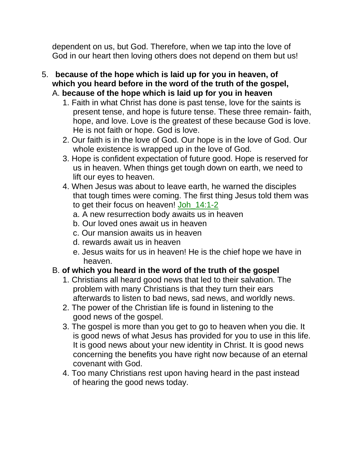dependent on us, but God. Therefore, when we tap into the love of God in our heart then loving others does not depend on them but us!

- 5. **because of the hope which is laid up for you in heaven, of which you heard before in the word of the truth of the gospel,** A. **because of the hope which is laid up for you in heaven**
	- 1. Faith in what Christ has done is past tense, love for the saints is present tense, and hope is future tense. These three remain- faith, hope, and love. Love is the greatest of these because God is love. He is not faith or hope. God is love.
	- 2. Our faith is in the love of God. Our hope is in the love of God. Our whole existence is wrapped up in the love of God.
	- 3. Hope is confident expectation of future good. Hope is reserved for us in heaven. When things get tough down on earth, we need to lift our eyes to heaven.
	- 4. When Jesus was about to leave earth, he warned the disciples that tough times were coming. The first thing Jesus told them was to get their focus on heaven! Joh\_14:1-2
		- a. A new resurrection body awaits us in heaven
		- b. Our loved ones await us in heaven
		- c. Our mansion awaits us in heaven
		- d. rewards await us in heaven
		- e. Jesus waits for us in heaven! He is the chief hope we have in heaven.

# B. **of which you heard in the word of the truth of the gospel**

- 1. Christians all heard good news that led to their salvation. The problem with many Christians is that they turn their ears afterwards to listen to bad news, sad news, and worldly news.
- 2. The power of the Christian life is found in listening to the good news of the gospel.
- 3. The gospel is more than you get to go to heaven when you die. It is good news of what Jesus has provided for you to use in this life. It is good news about your new identity in Christ. It is good news concerning the benefits you have right now because of an eternal covenant with God.
- 4. Too many Christians rest upon having heard in the past instead of hearing the good news today.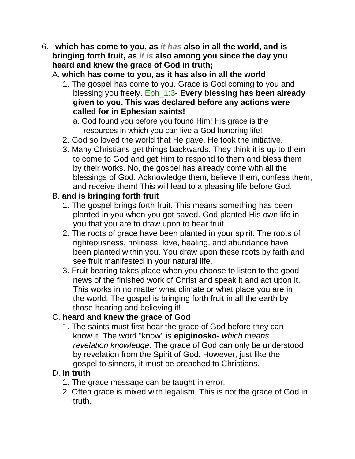- 6. **which has come to you, as** *it has* **also in all the world, and is bringing forth fruit, as** *it is* **also among you since the day you heard and knew the grace of God in truth;**
	- A. **which has come to you, as it has also in all the world**
		- 1. The gospel has come to you. Grace is God coming to you and blessing you freely. Eph\_1:3**- Every blessing has been already given to you. This was declared before any actions were called for in Ephesian saints!**
			- a. God found you before you found Him! His grace is the resources in which you can live a God honoring life!
		- 2. God so loved the world that He gave. He took the initiative.
		- 3. Many Christians get things backwards. They think it is up to them to come to God and get Him to respond to them and bless them by their works. No, the gospel has already come with all the blessings of God. Acknowledge them, believe them, confess them, and receive them! This will lead to a pleasing life before God.

# B. **and is bringing forth fruit**

- 1. The gospel brings forth fruit. This means something has been planted in you when you got saved. God planted His own life in you that you are to draw upon to bear fruit.
- 2. The roots of grace have been planted in your spirit. The roots of righteousness, holiness, love, healing, and abundance have been planted within you. You draw upon these roots by faith and see fruit manifested in your natural life.
- 3. Fruit bearing takes place when you choose to listen to the good news of the finished work of Christ and speak it and act upon it. This works in no matter what climate or what place you are in the world. The gospel is bringing forth fruit in all the earth by those hearing and believing it!

# C. **heard and knew the grace of God**

1. The saints must first hear the grace of God before they can know it. The word "know" is **epiginosko**- *which means revelation knowledge*. The grace of God can only be understood by revelation from the Spirit of God. However, just like the gospel to sinners, it must be preached to Christians.

# D. **in truth**

- 1. The grace message can be taught in error.
- 2. Often grace is mixed with legalism. This is not the grace of God in truth.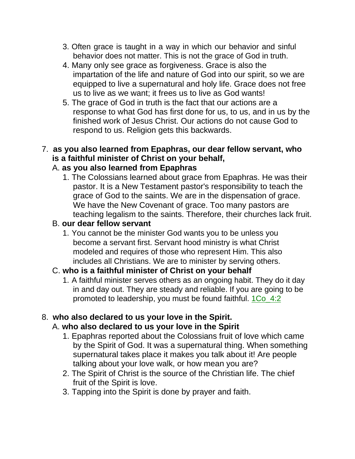- 3. Often grace is taught in a way in which our behavior and sinful behavior does not matter. This is not the grace of God in truth.
- 4. Many only see grace as forgiveness. Grace is also the impartation of the life and nature of God into our spirit, so we are equipped to live a supernatural and holy life. Grace does not free us to live as we want; it frees us to live as God wants!
- 5. The grace of God in truth is the fact that our actions are a response to what God has first done for us, to us, and in us by the finished work of Jesus Christ. Our actions do not cause God to respond to us. Religion gets this backwards.

# 7. **as you also learned from Epaphras, our dear fellow servant, who is a faithful minister of Christ on your behalf,**

### A. **as you also learned from Epaphras**

1. The Colossians learned about grace from Epaphras. He was their pastor. It is a New Testament pastor's responsibility to teach the grace of God to the saints. We are in the dispensation of grace. We have the New Covenant of grace. Too many pastors are teaching legalism to the saints. Therefore, their churches lack fruit.

## B. **our dear fellow servant**

1. You cannot be the minister God wants you to be unless you become a servant first. Servant hood ministry is what Christ modeled and requires of those who represent Him. This also includes all Christians. We are to minister by serving others.

## C. **who is a faithful minister of Christ on your behalf**

1. A faithful minister serves others as an ongoing habit. They do it day in and day out. They are steady and reliable. If you are going to be promoted to leadership, you must be found faithful. 1Co\_4:2

## 8. **who also declared to us your love in the Spirit.**

## A. **who also declared to us your love in the Spirit**

- 1. Epaphras reported about the Colossians fruit of love which came by the Spirit of God. It was a supernatural thing. When something supernatural takes place it makes you talk about it! Are people talking about your love walk, or how mean you are?
- 2. The Spirit of Christ is the source of the Christian life. The chief fruit of the Spirit is love.
- 3. Tapping into the Spirit is done by prayer and faith.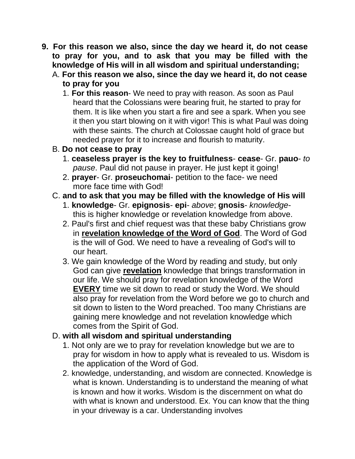- **9. For this reason we also, since the day we heard it, do not cease to pray for you, and to ask that you may be filled with the knowledge of His will in all wisdom and spiritual understanding;**
	- A. **For this reason we also, since the day we heard it, do not cease to pray for you**
		- 1. **For this reason** We need to pray with reason. As soon as Paul heard that the Colossians were bearing fruit, he started to pray for them. It is like when you start a fire and see a spark. When you see it then you start blowing on it with vigor! This is what Paul was doing with these saints. The church at Colossae caught hold of grace but needed prayer for it to increase and flourish to maturity.
	- B. **Do not cease to pray**
		- 1. **ceaseless prayer is the key to fruitfulness cease** Gr. **pauo** *to pause*. Paul did not pause in prayer. He just kept it going!
		- 2. **prayer** Gr. **proseuchomai** petition to the face- we need more face time with God!
	- C. **and to ask that you may be filled with the knowledge of His will**
		- 1. **knowledge** Gr. **epignosis epi** *above*; **gnosis** *knowledge*this is higher knowledge or revelation knowledge from above.
		- 2. Paul's first and chief request was that these baby Christians grow in **revelation knowledge of the Word of God**. The Word of God is the will of God. We need to have a revealing of God's will to our heart.
		- 3. We gain knowledge of the Word by reading and study, but only God can give **revelation** knowledge that brings transformation in our life. We should pray for revelation knowledge of the Word **EVERY** time we sit down to read or study the Word. We should also pray for revelation from the Word before we go to church and sit down to listen to the Word preached. Too many Christians are gaining mere knowledge and not revelation knowledge which comes from the Spirit of God.

# D. **with all wisdom and spiritual understanding**

- 1. Not only are we to pray for revelation knowledge but we are to pray for wisdom in how to apply what is revealed to us. Wisdom is the application of the Word of God.
- 2. knowledge, understanding, and wisdom are connected. Knowledge is what is known. Understanding is to understand the meaning of what is known and how it works. Wisdom is the discernment on what do with what is known and understood. Ex. You can know that the thing in your driveway is a car. Understanding involves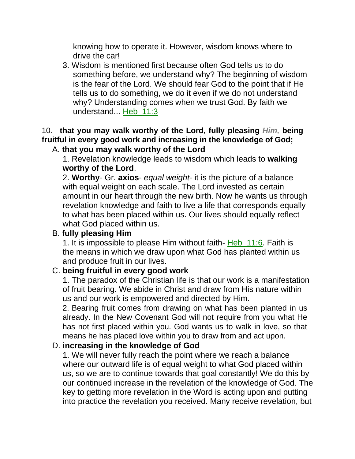knowing how to operate it. However, wisdom knows where to drive the car!

3. Wisdom is mentioned first because often God tells us to do something before, we understand why? The beginning of wisdom is the fear of the Lord. We should fear God to the point that if He tells us to do something, we do it even if we do not understand why? Understanding comes when we trust God. By faith we understand... Heb\_11:3

#### 10. **that you may walk worthy of the Lord, fully pleasing** *Him,* **being fruitful in every good work and increasing in the knowledge of God;** A. **that you may walk worthy of the Lord**

1. Revelation knowledge leads to wisdom which leads to **walking worthy of the Lord**.

2. **Worthy**- Gr. **axios**- *equal weight*- it is the picture of a balance with equal weight on each scale. The Lord invested as certain amount in our heart through the new birth. Now he wants us through revelation knowledge and faith to live a life that corresponds equally to what has been placed within us. Our lives should equally reflect what God placed within us.

### B. **fully pleasing Him**

1. It is impossible to please Him without faith- Heb\_11:6. Faith is the means in which we draw upon what God has planted within us and produce fruit in our lives.

## C. **being fruitful in every good work**

1. The paradox of the Christian life is that our work is a manifestation of fruit bearing. We abide in Christ and draw from His nature within us and our work is empowered and directed by Him.

2. Bearing fruit comes from drawing on what has been planted in us already. In the New Covenant God will not require from you what He has not first placed within you. God wants us to walk in love, so that means he has placed love within you to draw from and act upon.

#### D. **increasing in the knowledge of God**

1. We will never fully reach the point where we reach a balance where our outward life is of equal weight to what God placed within us, so we are to continue towards that goal constantly! We do this by our continued increase in the revelation of the knowledge of God. The key to getting more revelation in the Word is acting upon and putting into practice the revelation you received. Many receive revelation, but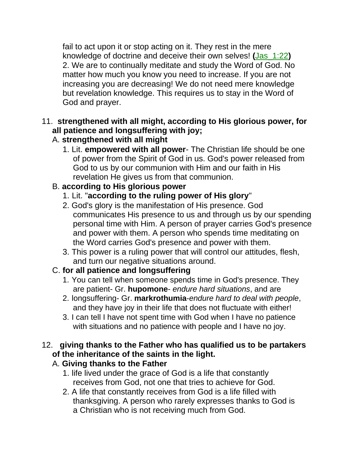fail to act upon it or stop acting on it. They rest in the mere knowledge of doctrine and deceive their own selves! **(**Jas\_1:22**)** 2. We are to continually meditate and study the Word of God. No matter how much you know you need to increase. If you are not increasing you are decreasing! We do not need mere knowledge but revelation knowledge. This requires us to stay in the Word of God and prayer.

## 11. **strengthened with all might, according to His glorious power, for all patience and longsuffering with joy;**

# A. **strengthened with all might**

1. Lit. **empowered with all power**- The Christian life should be one of power from the Spirit of God in us. God's power released from God to us by our communion with Him and our faith in His revelation He gives us from that communion.

# B. **according to His glorious power**

- 1. Lit. "**according to the ruling power of His glory**"
- 2. God's glory is the manifestation of His presence. God communicates His presence to us and through us by our spending personal time with Him. A person of prayer carries God's presence and power with them. A person who spends time meditating on the Word carries God's presence and power with them.
- 3. This power is a ruling power that will control our attitudes, flesh, and turn our negative situations around.

# C. **for all patience and longsuffering**

- 1. You can tell when someone spends time in God's presence. They are patient- Gr. **hupomone**- *endure hard situations*, and are
- 2. longsuffering- Gr. **markrothumia**-*endure hard to deal with people*, and they have joy in their life that does not fluctuate with either!
- 3. I can tell I have not spent time with God when I have no patience with situations and no patience with people and I have no joy.

# 12. **giving thanks to the Father who has qualified us to be partakers of the inheritance of the saints in the light.**

# A. **Giving thanks to the Father**

- 1. life lived under the grace of God is a life that constantly receives from God, not one that tries to achieve for God.
- 2. A life that constantly receives from God is a life filled with thanksgiving. A person who rarely expresses thanks to God is a Christian who is not receiving much from God.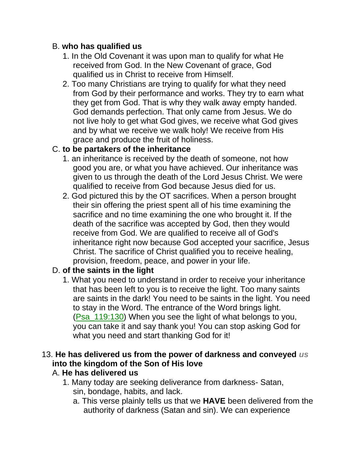## B. **who has qualified us**

- 1. In the Old Covenant it was upon man to qualify for what He received from God. In the New Covenant of grace, God qualified us in Christ to receive from Himself.
- 2. Too many Christians are trying to qualify for what they need from God by their performance and works. They try to earn what they get from God. That is why they walk away empty handed. God demands perfection. That only came from Jesus. We do not live holy to get what God gives, we receive what God gives and by what we receive we walk holy! We receive from His grace and produce the fruit of holiness.

# C. **to be partakers of the inheritance**

- 1. an inheritance is received by the death of someone, not how good you are, or what you have achieved. Our inheritance was given to us through the death of the Lord Jesus Christ. We were qualified to receive from God because Jesus died for us.
- 2. God pictured this by the OT sacrifices. When a person brought their sin offering the priest spent all of his time examining the sacrifice and no time examining the one who brought it. If the death of the sacrifice was accepted by God, then they would receive from God. We are qualified to receive all of God's inheritance right now because God accepted your sacrifice, Jesus Christ. The sacrifice of Christ qualified you to receive healing, provision, freedom, peace, and power in your life.

# D. **of the saints in the light**

1. What you need to understand in order to receive your inheritance that has been left to you is to receive the light. Too many saints are saints in the dark! You need to be saints in the light. You need to stay in the Word. The entrance of the Word brings light. (Psa\_119:130) When you see the light of what belongs to you, you can take it and say thank you! You can stop asking God for what you need and start thanking God for it!

# 13. **He has delivered us from the power of darkness and conveyed** *us* **into the kingdom of the Son of His love**

# A. **He has delivered us**

- 1. Many today are seeking deliverance from darkness- Satan, sin, bondage, habits, and lack.
	- a. This verse plainly tells us that we **HAVE** been delivered from the authority of darkness (Satan and sin). We can experience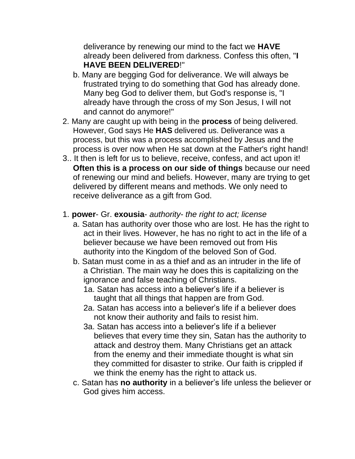deliverance by renewing our mind to the fact we **HAVE** already been delivered from darkness. Confess this often, "**I HAVE BEEN DELIVERED**!"

- b. Many are begging God for deliverance. We will always be frustrated trying to do something that God has already done. Many beg God to deliver them, but God's response is, "I already have through the cross of my Son Jesus, I will not and cannot do anymore!"
- 2. Many are caught up with being in the **process** of being delivered. However, God says He **HAS** delivered us. Deliverance was a process, but this was a process accomplished by Jesus and the process is over now when He sat down at the Father's right hand!
- 3.. It then is left for us to believe, receive, confess, and act upon it! **Often this is a process on our side of things** because our need of renewing our mind and beliefs. However, many are trying to get delivered by different means and methods. We only need to receive deliverance as a gift from God.

### 1. **power**- Gr. **exousia**- *authority*- *the right to act; license*

- a. Satan has authority over those who are lost. He has the right to act in their lives. However, he has no right to act in the life of a believer because we have been removed out from His authority into the Kingdom of the beloved Son of God.
- b. Satan must come in as a thief and as an intruder in the life of a Christian. The main way he does this is capitalizing on the ignorance and false teaching of Christians.
	- 1a. Satan has access into a believer's life if a believer is taught that all things that happen are from God.
	- 2a. Satan has access into a believer's life if a believer does not know their authority and fails to resist him.
	- 3a. Satan has access into a believer's life if a believer believes that every time they sin, Satan has the authority to attack and destroy them. Many Christians get an attack from the enemy and their immediate thought is what sin they committed for disaster to strike. Our faith is crippled if we think the enemy has the right to attack us.
- c. Satan has **no authority** in a believer's life unless the believer or God gives him access.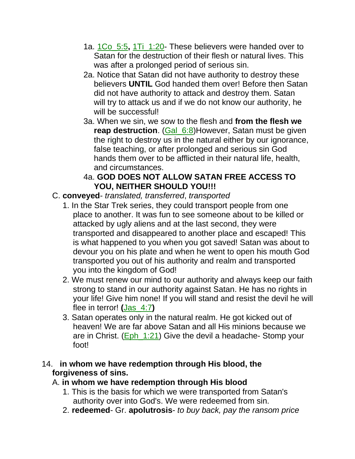- 1a. 1Co\_5:5**,** 1Ti\_1:20- These believers were handed over to Satan for the destruction of their flesh or natural lives. This was after a prolonged period of serious sin.
- 2a. Notice that Satan did not have authority to destroy these believers **UNTIL** God handed them over! Before then Satan did not have authority to attack and destroy them. Satan will try to attack us and if we do not know our authority, he will be successful!
- 3a. When we sin, we sow to the flesh and **from the flesh we reap destruction**. (Gal\_6:8)However, Satan must be given the right to destroy us in the natural either by our ignorance, false teaching, or after prolonged and serious sin God hands them over to be afflicted in their natural life, health, and circumstances.

## 4a. **GOD DOES NOT ALLOW SATAN FREE ACCESS TO YOU, NEITHER SHOULD YOU!!!**

# C. **conveyed**- *translated, transferred*, *transported*

- 1. In the Star Trek series, they could transport people from one place to another. It was fun to see someone about to be killed or attacked by ugly aliens and at the last second, they were transported and disappeared to another place and escaped! This is what happened to you when you got saved! Satan was about to devour you on his plate and when he went to open his mouth God transported you out of his authority and realm and transported you into the kingdom of God!
- 2. We must renew our mind to our authority and always keep our faith strong to stand in our authority against Satan. He has no rights in your life! Give him none! If you will stand and resist the devil he will flee in terror! **(**Jas\_4:7**)**
- 3. Satan operates only in the natural realm. He got kicked out of heaven! We are far above Satan and all His minions because we are in Christ. (Eph\_1:21) Give the devil a headache- Stomp your foot!

### 14. **in whom we have redemption through His blood, the forgiveness of sins.**

# A. **in whom we have redemption through His blood**

- 1. This is the basis for which we were transported from Satan's authority over into God's. We were redeemed from sin.
- 2. **redeemed** Gr. **apolutrosis** *to buy back, pay the ransom price*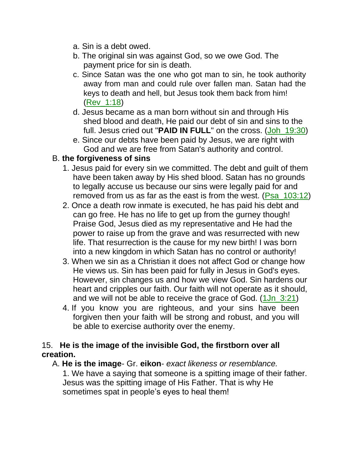- a. Sin is a debt owed.
- b. The original sin was against God, so we owe God. The payment price for sin is death.
- c. Since Satan was the one who got man to sin, he took authority away from man and could rule over fallen man. Satan had the keys to death and hell, but Jesus took them back from him! (Rev\_1:18)
- d. Jesus became as a man born without sin and through His shed blood and death, He paid our debt of sin and sins to the full. Jesus cried out "**PAID IN FULL**" on the cross. (Joh\_19:30)
- e. Since our debts have been paid by Jesus, we are right with God and we are free from Satan's authority and control.

### B. **the forgiveness of sins**

- 1. Jesus paid for every sin we committed. The debt and guilt of them have been taken away by His shed blood. Satan has no grounds to legally accuse us because our sins were legally paid for and removed from us as far as the east is from the west. (Psa\_103:12)
- 2. Once a death row inmate is executed, he has paid his debt and can go free. He has no life to get up from the gurney though! Praise God, Jesus died as my representative and He had the power to raise up from the grave and was resurrected with new life. That resurrection is the cause for my new birth! I was born into a new kingdom in which Satan has no control or authority!
- 3. When we sin as a Christian it does not affect God or change how He views us. Sin has been paid for fully in Jesus in God's eyes. However, sin changes us and how we view God. Sin hardens our heart and cripples our faith. Our faith will not operate as it should, and we will not be able to receive the grace of God.  $(1Jn_3:21)$
- 4. If you know you are righteous, and your sins have been forgiven then your faith will be strong and robust, and you will be able to exercise authority over the enemy.

#### 15. **He is the image of the invisible God, the firstborn over all creation.**

A. **He is the image**- Gr. **eikon**- *exact likeness or resemblance.*

1. We have a saying that someone is a spitting image of their father. Jesus was the spitting image of His Father. That is why He sometimes spat in people's eyes to heal them!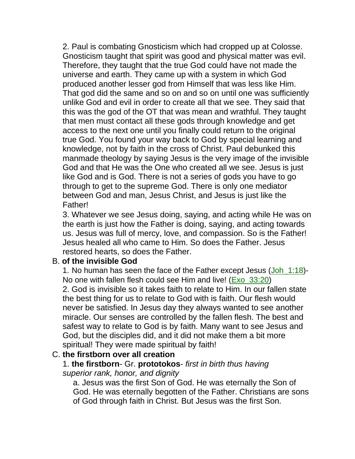2. Paul is combating Gnosticism which had cropped up at Colosse. Gnosticism taught that spirit was good and physical matter was evil. Therefore, they taught that the true God could have not made the universe and earth. They came up with a system in which God produced another lesser god from Himself that was less like Him. That god did the same and so on and so on until one was sufficiently unlike God and evil in order to create all that we see. They said that this was the god of the OT that was mean and wrathful. They taught that men must contact all these gods through knowledge and get access to the next one until you finally could return to the original true God. You found your way back to God by special learning and knowledge, not by faith in the cross of Christ. Paul debunked this manmade theology by saying Jesus is the very image of the invisible God and that He was the One who created all we see. Jesus is just like God and is God. There is not a series of gods you have to go through to get to the supreme God. There is only one mediator between God and man, Jesus Christ, and Jesus is just like the Father!

3. Whatever we see Jesus doing, saying, and acting while He was on the earth is just how the Father is doing, saying, and acting towards us. Jesus was full of mercy, love, and compassion. So is the Father! Jesus healed all who came to Him. So does the Father. Jesus restored hearts, so does the Father.

#### B. **of the invisible God**

1. No human has seen the face of the Father except Jesus (Joh\_1:18)- No one with fallen flesh could see Him and live! (Exo\_33:20) 2. God is invisible so it takes faith to relate to Him. In our fallen state the best thing for us to relate to God with is faith. Our flesh would never be satisfied. In Jesus day they always wanted to see another miracle. Our senses are controlled by the fallen flesh. The best and safest way to relate to God is by faith. Many want to see Jesus and God, but the disciples did, and it did not make them a bit more spiritual! They were made spiritual by faith!

#### C. **the firstborn over all creation**

#### 1. **the firstborn**- Gr. **prototokos**- *first in birth thus having*

*superior rank, honor, and dignity*

a. Jesus was the first Son of God. He was eternally the Son of God. He was eternally begotten of the Father. Christians are sons of God through faith in Christ. But Jesus was the first Son.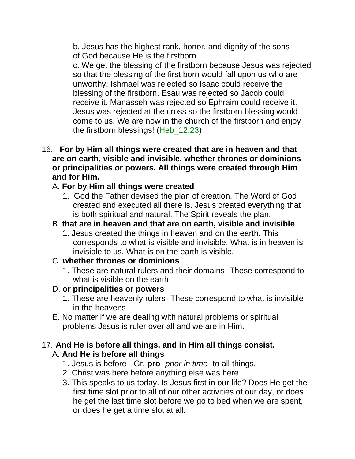b. Jesus has the highest rank, honor, and dignity of the sons of God because He is the firstborn.

c. We get the blessing of the firstborn because Jesus was rejected so that the blessing of the first born would fall upon us who are unworthy. Ishmael was rejected so Isaac could receive the blessing of the firstborn. Esau was rejected so Jacob could receive it. Manasseh was rejected so Ephraim could receive it. Jesus was rejected at the cross so the firstborn blessing would come to us. We are now in the church of the firstborn and enjoy the firstborn blessings! (Heb\_12:23)

16. **For by Him all things were created that are in heaven and that are on earth, visible and invisible, whether thrones or dominions or principalities or powers. All things were created through Him and for Him.**

### A. **For by Him all things were created**

1. God the Father devised the plan of creation. The Word of God created and executed all there is. Jesus created everything that is both spiritual and natural. The Spirit reveals the plan.

### B. **that are in heaven and that are on earth, visible and invisible**

1. Jesus created the things in heaven and on the earth. This corresponds to what is visible and invisible. What is in heaven is invisible to us. What is on the earth is visible.

#### C. **whether thrones or dominions**

1. These are natural rulers and their domains- These correspond to what is visible on the earth

#### D. **or principalities or powers**

- 1. These are heavenly rulers- These correspond to what is invisible in the heavens
- E. No matter if we are dealing with natural problems or spiritual problems Jesus is ruler over all and we are in Him.

### 17. **And He is before all things, and in Him all things consist.** A. **And He is before all things**

- 1. Jesus is before Gr. **pro** *prior in time-* to all things.
- 2. Christ was here before anything else was here.
- 3. This speaks to us today. Is Jesus first in our life? Does He get the first time slot prior to all of our other activities of our day, or does he get the last time slot before we go to bed when we are spent, or does he get a time slot at all.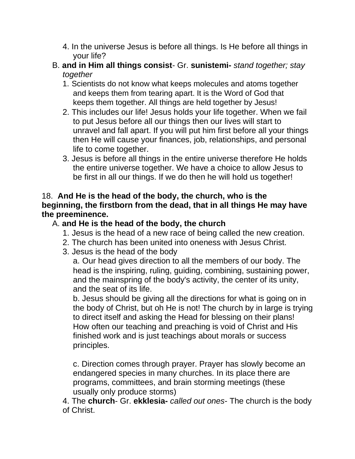- 4. In the universe Jesus is before all things. Is He before all things in your life?
- B. **and in Him all things consist** Gr. **sunistemi-** *stand together; stay together*
	- 1. Scientists do not know what keeps molecules and atoms together and keeps them from tearing apart. It is the Word of God that keeps them together. All things are held together by Jesus!
	- 2. This includes our life! Jesus holds your life together. When we fail to put Jesus before all our things then our lives will start to unravel and fall apart. If you will put him first before all your things then He will cause your finances, job, relationships, and personal life to come together.
	- 3. Jesus is before all things in the entire universe therefore He holds the entire universe together. We have a choice to allow Jesus to be first in all our things. If we do then he will hold us together!

### 18. **And He is the head of the body, the church, who is the beginning, the firstborn from the dead, that in all things He may have the preeminence.**

# A. **and He is the head of the body, the church**

- 1. Jesus is the head of a new race of being called the new creation.
- 2. The church has been united into oneness with Jesus Christ.
- 3. Jesus is the head of the body

a. Our head gives direction to all the members of our body. The head is the inspiring, ruling, guiding, combining, sustaining power, and the mainspring of the body's activity, the center of its unity, and the seat of its life.

b. Jesus should be giving all the directions for what is going on in the body of Christ, but oh He is not! The church by in large is trying to direct itself and asking the Head for blessing on their plans! How often our teaching and preaching is void of Christ and His finished work and is just teachings about morals or success principles.

c. Direction comes through prayer. Prayer has slowly become an endangered species in many churches. In its place there are programs, committees, and brain storming meetings (these usually only produce storms)

4. The **church**- Gr. **ekklesia-** *called out ones*- The church is the body of Christ.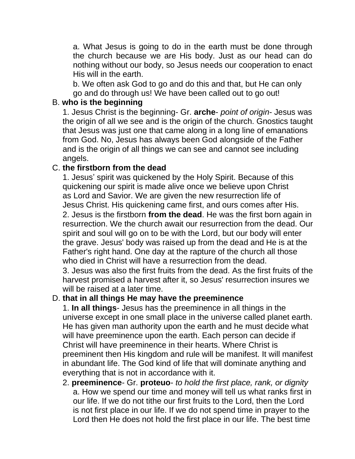a. What Jesus is going to do in the earth must be done through the church because we are His body. Just as our head can do nothing without our body, so Jesus needs our cooperation to enact His will in the earth.

b. We often ask God to go and do this and that, but He can only go and do through us! We have been called out to go out!

#### B. **who is the beginning**

1. Jesus Christ is the beginning- Gr. **arche**- *point of origin*- Jesus was the origin of all we see and is the origin of the church. Gnostics taught that Jesus was just one that came along in a long line of emanations from God. No, Jesus has always been God alongside of the Father and is the origin of all things we can see and cannot see including angels.

#### C. **the firstborn from the dead**

1. Jesus' spirit was quickened by the Holy Spirit. Because of this quickening our spirit is made alive once we believe upon Christ as Lord and Savior. We are given the new resurrection life of Jesus Christ. His quickening came first, and ours comes after His. 2. Jesus is the firstborn **from the dead**. He was the first born again in resurrection. We the church await our resurrection from the dead. Our spirit and soul will go on to be with the Lord, but our body will enter the grave. Jesus' body was raised up from the dead and He is at the Father's right hand. One day at the rapture of the church all those who died in Christ will have a resurrection from the dead. 3. Jesus was also the first fruits from the dead. As the first fruits of the harvest promised a harvest after it, so Jesus' resurrection insures we will be raised at a later time.

#### D. **that in all things He may have the preeminence**

1. **In all things**- Jesus has the preeminence in all things in the universe except in one small place in the universe called planet earth. He has given man authority upon the earth and he must decide what will have preeminence upon the earth. Each person can decide if Christ will have preeminence in their hearts. Where Christ is preeminent then His kingdom and rule will be manifest. It will manifest in abundant life. The God kind of life that will dominate anything and everything that is not in accordance with it.

2. **preeminence**- Gr. **proteuo**- *to hold the first place, rank, or dignity* a. How we spend our time and money will tell us what ranks first in our life. If we do not tithe our first fruits to the Lord, then the Lord is not first place in our life. If we do not spend time in prayer to the Lord then He does not hold the first place in our life. The best time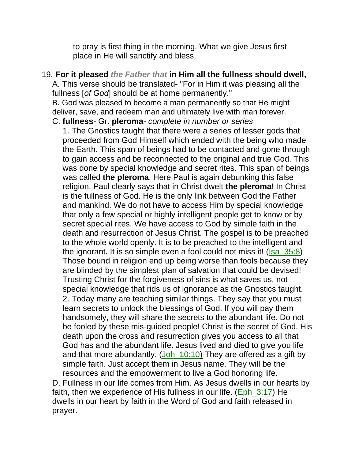to pray is first thing in the morning. What we give Jesus first place in He will sanctify and bless.

#### 19. **For it pleased** *the Father that* **in Him all the fullness should dwell,** A. This verse should be translated- "For in Him it was pleasing all the

fullness [*of God*] should be at home permanently."

prayer.

B. God was pleased to become a man permanently so that He might deliver, save, and redeem man and ultimately live with man forever. C. **fullness**- Gr. **pleroma**- *complete in number or series*

1. The Gnostics taught that there were a series of lesser gods that proceeded from God Himself which ended with the being who made the Earth. This span of beings had to be contacted and gone through to gain access and be reconnected to the original and true God. This was done by special knowledge and secret rites. This span of beings was called **the pleroma**. Here Paul is again debunking this false religion. Paul clearly says that in Christ dwelt **the pleroma**! In Christ is the fullness of God. He is the only link between God the Father and mankind. We do not have to access Him by special knowledge that only a few special or highly intelligent people get to know or by secret special rites. We have access to God by simple faith in the death and resurrection of Jesus Christ. The gospel is to be preached to the whole world openly. It is to be preached to the intelligent and the ignorant. It is so simple even a fool could not miss it! (Isa 35:8) Those bound in religion end up being worse than fools because they are blinded by the simplest plan of salvation that could be devised! Trusting Christ for the forgiveness of sins is what saves us, not special knowledge that rids us of ignorance as the Gnostics taught. 2. Today many are teaching similar things. They say that you must learn secrets to unlock the blessings of God. If you will pay them handsomely, they will share the secrets to the abundant life. Do not be fooled by these mis-guided people! Christ is the secret of God. His death upon the cross and resurrection gives you access to all that God has and the abundant life. Jesus lived and died to give you life and that more abundantly. (Joh\_10:10) They are offered as a gift by simple faith. Just accept them in Jesus name. They will be the resources and the empowerment to live a God honoring life. D. Fullness in our life comes from Him. As Jesus dwells in our hearts by faith, then we experience of His fullness in our life. (Eph 3:17) He dwells in our heart by faith in the Word of God and faith released in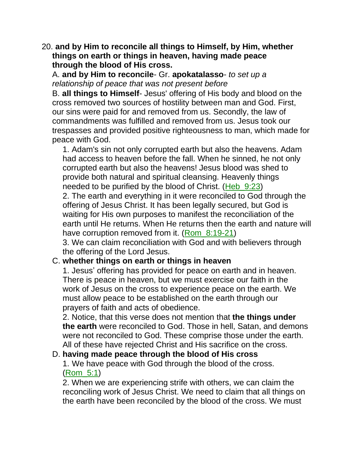20. **and by Him to reconcile all things to Himself, by Him, whether things on earth or things in heaven, having made peace through the blood of His cross.**

A. **and by Him to reconcile**- Gr. **apokatalasso**- *to set up a relationship of peace that was not present before*

B. **all things to Himself**- Jesus' offering of His body and blood on the cross removed two sources of hostility between man and God. First, our sins were paid for and removed from us. Secondly, the law of commandments was fulfilled and removed from us. Jesus took our trespasses and provided positive righteousness to man, which made for peace with God.

1. Adam's sin not only corrupted earth but also the heavens. Adam had access to heaven before the fall. When he sinned, he not only corrupted earth but also the heavens! Jesus blood was shed to provide both natural and spiritual cleansing. Heavenly things needed to be purified by the blood of Christ. (Heb\_9:23)

2. The earth and everything in it were reconciled to God through the offering of Jesus Christ. It has been legally secured, but God is waiting for His own purposes to manifest the reconciliation of the earth until He returns. When He returns then the earth and nature will have corruption removed from it. (Rom 8:19-21)

3. We can claim reconciliation with God and with believers through the offering of the Lord Jesus.

#### C. **whether things on earth or things in heaven**

1. Jesus' offering has provided for peace on earth and in heaven. There is peace in heaven, but we must exercise our faith in the work of Jesus on the cross to experience peace on the earth. We must allow peace to be established on the earth through our prayers of faith and acts of obedience.

2. Notice, that this verse does not mention that **the things under the earth** were reconciled to God. Those in hell, Satan, and demons were not reconciled to God. These comprise those under the earth. All of these have rejected Christ and His sacrifice on the cross.

#### D. **having made peace through the blood of His cross**

1. We have peace with God through the blood of the cross. (Rom\_5:1)

2. When we are experiencing strife with others, we can claim the reconciling work of Jesus Christ. We need to claim that all things on the earth have been reconciled by the blood of the cross. We must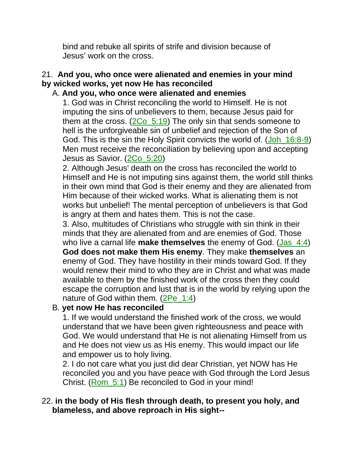bind and rebuke all spirits of strife and division because of Jesus' work on the cross.

# 21. **And you, who once were alienated and enemies in your mind by wicked works, yet now He has reconciled**

#### A. **And you, who once were alienated and enemies**

1. God was in Christ reconciling the world to Himself. He is not imputing the sins of unbelievers to them, because Jesus paid for them at the cross. (2Co\_5:19) The only sin that sends someone to hell is the unforgiveable sin of unbelief and rejection of the Son of God. This is the sin the Holy Spirit convicts the world of. (Joh\_16:8-9) Men must receive the reconciliation by believing upon and accepting Jesus as Savior. (2Co 5:20)

2. Although Jesus' death on the cross has reconciled the world to Himself and He is not imputing sins against them, the world still thinks in their own mind that God is their enemy and they are alienated from Him because of their wicked works. What is alienating them is not works but unbelief! The mental perception of unbelievers is that God is angry at them and hates them. This is not the case.

3. Also, multitudes of Christians who struggle with sin think in their minds that they are alienated from and are enemies of God. Those who live a carnal life **make themselves** the enemy of God. (Jas\_4:4) **God does not make them His enemy**. They make **themselves** an enemy of God. They have hostility in their minds toward God. If they would renew their mind to who they are in Christ and what was made available to them by the finished work of the cross then they could escape the corruption and lust that is in the world by relying upon the nature of God within them. (2Pe\_1:4)

## B. **yet now He has reconciled**

1. If we would understand the finished work of the cross, we would understand that we have been given righteousness and peace with God. We would understand that He is not alienating Himself from us and He does not view us as His enemy. This would impact our life and empower us to holy living.

2. I do not care what you just did dear Christian, yet NOW has He reconciled you and you have peace with God through the Lord Jesus Christ. (Rom\_5:1) Be reconciled to God in your mind!

### 22. **in the body of His flesh through death, to present you holy, and blameless, and above reproach in His sight--**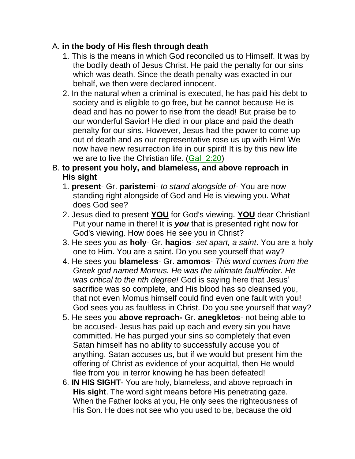## A. **in the body of His flesh through death**

- 1. This is the means in which God reconciled us to Himself. It was by the bodily death of Jesus Christ. He paid the penalty for our sins which was death. Since the death penalty was exacted in our behalf, we then were declared innocent.
- 2. In the natural when a criminal is executed, he has paid his debt to society and is eligible to go free, but he cannot because He is dead and has no power to rise from the dead! But praise be to our wonderful Savior! He died in our place and paid the death penalty for our sins. However, Jesus had the power to come up out of death and as our representative rose us up with Him! We now have new resurrection life in our spirit! It is by this new life we are to live the Christian life. (Gal. 2:20)

### B. **to present you holy, and blameless, and above reproach in His sight**

- 1. **present** Gr. **paristemi** *to stand alongside of* You are now standing right alongside of God and He is viewing you. What does God see?
- 2. Jesus died to present **YOU** for God's viewing. **YOU** dear Christian! Put your name in there! It is *you* that is presented right now for God's viewing. How does He see you in Christ?
- 3. He sees you as **holy** Gr. **hagios** *set apart, a saint*. You are a holy one to Him. You are a saint. Do you see yourself that way?
- 4. He sees you **blameless** Gr. **amomos** *This word comes from the Greek god named Momus. He was the ultimate faultfinder. He was critical to the nth degree!* God is saying here that Jesus' sacrifice was so complete, and His blood has so cleansed you, that not even Momus himself could find even one fault with you! God sees you as faultless in Christ. Do you see yourself that way?
- 5. He sees you **above reproach-** Gr. **anegkletos** not being able to be accused- Jesus has paid up each and every sin you have committed. He has purged your sins so completely that even Satan himself has no ability to successfully accuse you of anything. Satan accuses us, but if we would but present him the offering of Christ as evidence of your acquittal, then He would flee from you in terror knowing he has been defeated!
- 6. **IN HIS SIGHT** You are holy, blameless, and above reproach **in His sight**. The word sight means before His penetrating gaze. When the Father looks at you, He only sees the righteousness of His Son. He does not see who you used to be, because the old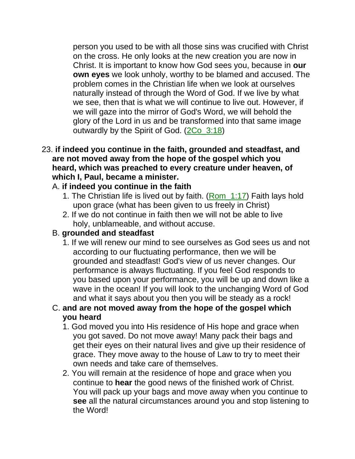person you used to be with all those sins was crucified with Christ on the cross. He only looks at the new creation you are now in Christ. It is important to know how God sees you, because in **our own eyes** we look unholy, worthy to be blamed and accused. The problem comes in the Christian life when we look at ourselves naturally instead of through the Word of God. If we live by what we see, then that is what we will continue to live out. However, if we will gaze into the mirror of God's Word, we will behold the glory of the Lord in us and be transformed into that same image outwardly by the Spirit of God. (2Co\_3:18)

#### 23. **if indeed you continue in the faith, grounded and steadfast, and are not moved away from the hope of the gospel which you heard, which was preached to every creature under heaven, of which I, Paul, became a minister.**

### A. **if indeed you continue in the faith**

- 1. The Christian life is lived out by faith. (Rom\_1:17) Faith lays hold upon grace (what has been given to us freely in Christ)
- 2. If we do not continue in faith then we will not be able to live holy, unblameable, and without accuse.

#### B. **grounded and steadfast**

1. If we will renew our mind to see ourselves as God sees us and not according to our fluctuating performance, then we will be grounded and steadfast! God's view of us never changes. Our performance is always fluctuating. If you feel God responds to you based upon your performance, you will be up and down like a wave in the ocean! If you will look to the unchanging Word of God and what it says about you then you will be steady as a rock!

### C. **and are not moved away from the hope of the gospel which you heard**

- 1. God moved you into His residence of His hope and grace when you got saved. Do not move away! Many pack their bags and get their eyes on their natural lives and give up their residence of grace. They move away to the house of Law to try to meet their own needs and take care of themselves.
- 2. You will remain at the residence of hope and grace when you continue to **hear** the good news of the finished work of Christ. You will pack up your bags and move away when you continue to **see** all the natural circumstances around you and stop listening to the Word!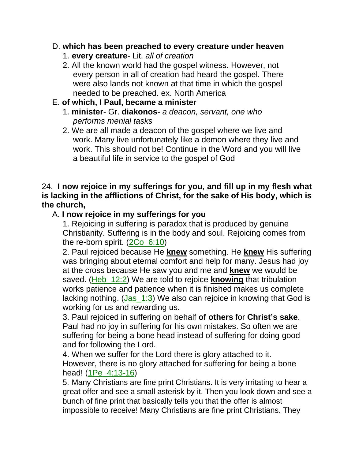#### D. **which has been preached to every creature under heaven**

- 1. **every creature** Lit. *all of creation*
- 2. All the known world had the gospel witness. However, not every person in all of creation had heard the gospel. There were also lands not known at that time in which the gospel needed to be preached. ex. North America

## E. **of which, I Paul, became a minister**

- 1. **minister** Gr. **diakonos** *a deacon, servant, one who performs menial tasks*
- 2. We are all made a deacon of the gospel where we live and work. Many live unfortunately like a demon where they live and work. This should not be! Continue in the Word and you will live a beautiful life in service to the gospel of God

### 24. **I now rejoice in my sufferings for you, and fill up in my flesh what is lacking in the afflictions of Christ, for the sake of His body, which is the church,**

## A. **I now rejoice in my sufferings for you**

1. Rejoicing in suffering is paradox that is produced by genuine Christianity. Suffering is in the body and soul. Rejoicing comes from the re-born spirit. (2Co\_6:10)

2. Paul rejoiced because He **knew** something. He **knew** His suffering was bringing about eternal comfort and help for many. Jesus had joy at the cross because He saw you and me and **knew** we would be saved. (Heb\_12:2) We are told to rejoice **knowing** that tribulation works patience and patience when it is finished makes us complete lacking nothing. (Jas 1:3) We also can rejoice in knowing that God is working for us and rewarding us.

3. Paul rejoiced in suffering on behalf **of others** for **Christ's sake**. Paul had no joy in suffering for his own mistakes. So often we are suffering for being a bone head instead of suffering for doing good and for following the Lord.

4. When we suffer for the Lord there is glory attached to it. However, there is no glory attached for suffering for being a bone head! (1Pe\_4:13-16)

5. Many Christians are fine print Christians. It is very irritating to hear a great offer and see a small asterisk by it. Then you look down and see a bunch of fine print that basically tells you that the offer is almost impossible to receive! Many Christians are fine print Christians. They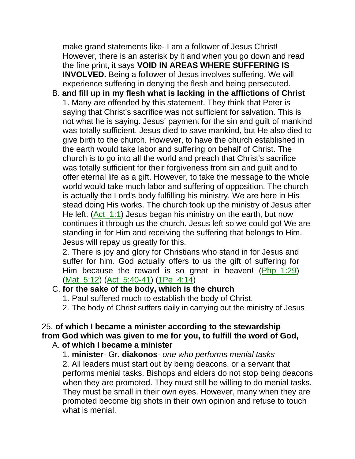make grand statements like- I am a follower of Jesus Christ! However, there is an asterisk by it and when you go down and read the fine print, it says **VOID IN AREAS WHERE SUFFERING IS INVOLVED.** Being a follower of Jesus involves suffering. We will experience suffering in denying the flesh and being persecuted.

B. **and fill up in my flesh what is lacking in the afflictions of Christ** 1. Many are offended by this statement. They think that Peter is saying that Christ's sacrifice was not sufficient for salvation. This is not what he is saying. Jesus' payment for the sin and guilt of mankind was totally sufficient. Jesus died to save mankind, but He also died to give birth to the church. However, to have the church established in the earth would take labor and suffering on behalf of Christ. The church is to go into all the world and preach that Christ's sacrifice was totally sufficient for their forgiveness from sin and guilt and to offer eternal life as a gift. However, to take the message to the whole world would take much labor and suffering of opposition. The church is actually the Lord's body fulfilling his ministry. We are here in His stead doing His works. The church took up the ministry of Jesus after He left. (Act 1:1) Jesus began his ministry on the earth, but now continues it through us the church. Jesus left so we could go! We are standing in for Him and receiving the suffering that belongs to Him. Jesus will repay us greatly for this.

2. There is joy and glory for Christians who stand in for Jesus and suffer for him. God actually offers to us the gift of suffering for Him because the reward is so great in heaven! (Php 1:29) (Mat\_5:12) (Act\_5:40-41) (1Pe\_4:14)

#### C. **for the sake of the body, which is the church**

- 1. Paul suffered much to establish the body of Christ.
- 2. The body of Christ suffers daily in carrying out the ministry of Jesus

#### 25. **of which I became a minister according to the stewardship from God which was given to me for you, to fulfill the word of God,** A. **of which I became a minister**

#### 1. **minister**- Gr. **diakonos**- *one who performs menial tasks*

2. All leaders must start out by being deacons, or a servant that performs menial tasks. Bishops and elders do not stop being deacons when they are promoted. They must still be willing to do menial tasks. They must be small in their own eyes. However, many when they are promoted become big shots in their own opinion and refuse to touch what is menial.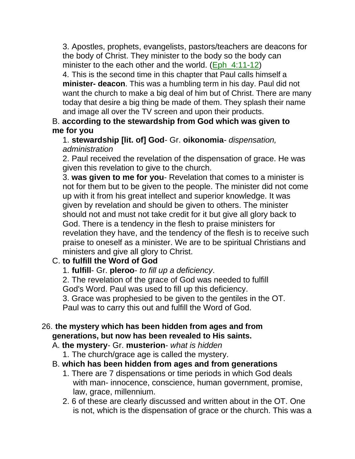3. Apostles, prophets, evangelists, pastors/teachers are deacons for the body of Christ. They minister to the body so the body can minister to the each other and the world. (Eph\_4:11-12)

4. This is the second time in this chapter that Paul calls himself a **minister- deacon**. This was a humbling term in his day. Paul did not want the church to make a big deal of him but of Christ. There are many today that desire a big thing be made of them. They splash their name and image all over the TV screen and upon their products.

## B. **according to the stewardship from God which was given to me for you**

1. **stewardship [lit. of] God**- Gr. **oikonomia**- *dispensation, administration*

2. Paul received the revelation of the dispensation of grace. He was given this revelation to give to the church.

3. **was given to me for you**- Revelation that comes to a minister is not for them but to be given to the people. The minister did not come up with it from his great intellect and superior knowledge. It was given by revelation and should be given to others. The minister should not and must not take credit for it but give all glory back to God. There is a tendency in the flesh to praise ministers for revelation they have, and the tendency of the flesh is to receive such praise to oneself as a minister. We are to be spiritual Christians and ministers and give all glory to Christ.

# C. **to fulfill the Word of God**

1. **fulfill**- Gr. **pleroo**- *to fill up a deficiency*.

2. The revelation of the grace of God was needed to fulfill God's Word. Paul was used to fill up this deficiency. 3. Grace was prophesied to be given to the gentiles in the OT.

Paul was to carry this out and fulfill the Word of God.

## 26. **the mystery which has been hidden from ages and from generations, but now has been revealed to His saints.**

### A. **the mystery**- Gr. **musterion**- *what is hidden*

1. The church/grace age is called the mystery.

## B. **which has been hidden from ages and from generations**

- 1. There are 7 dispensations or time periods in which God deals with man- innocence, conscience, human government, promise, law, grace, millennium.
- 2. 6 of these are clearly discussed and written about in the OT. One is not, which is the dispensation of grace or the church. This was a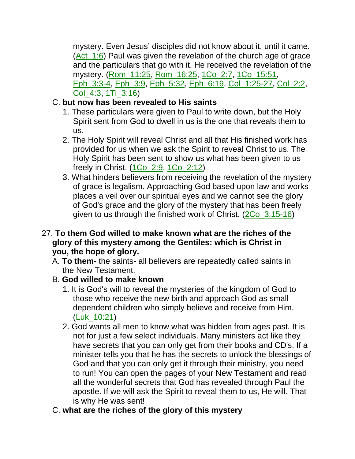mystery. Even Jesus' disciples did not know about it, until it came. (Act\_1:6) Paul was given the revelation of the church age of grace and the particulars that go with it. He received the revelation of the mystery. (Rom\_11:25, Rom\_16:25, 1Co\_2:7, 1Co\_15:51, Eph\_3:3-4, Eph\_3:9, Eph\_5:32, Eph\_6:19, Col\_1:25-27, Col\_2:2, Col\_4:3, 1Ti\_3:16)

# C. **but now has been revealed to His saints**

- 1. These particulars were given to Paul to write down, but the Holy Spirit sent from God to dwell in us is the one that reveals them to us.
- 2. The Holy Spirit will reveal Christ and all that His finished work has provided for us when we ask the Spirit to reveal Christ to us. The Holy Spirit has been sent to show us what has been given to us freely in Christ. (1Co\_2:9, 1Co\_2:12)
- 3. What hinders believers from receiving the revelation of the mystery of grace is legalism. Approaching God based upon law and works places a veil over our spiritual eyes and we cannot see the glory of God's grace and the glory of the mystery that has been freely given to us through the finished work of Christ. (2Co\_3:15-16)

#### 27. **To them God willed to make known what are the riches of the glory of this mystery among the Gentiles: which is Christ in you, the hope of glory.**

- A. **To them** the saints- all believers are repeatedly called saints in the New Testament.
- B. **God willed to make known**
	- 1. It is God's will to reveal the mysteries of the kingdom of God to those who receive the new birth and approach God as small dependent children who simply believe and receive from Him. (Luk\_10:21)
	- 2. God wants all men to know what was hidden from ages past. It is not for just a few select individuals. Many ministers act like they have secrets that you can only get from their books and CD's. If a minister tells you that he has the secrets to unlock the blessings of God and that you can only get it through their ministry, you need to run! You can open the pages of your New Testament and read all the wonderful secrets that God has revealed through Paul the apostle. If we will ask the Spirit to reveal them to us, He will. That is why He was sent!
- C. **what are the riches of the glory of this mystery**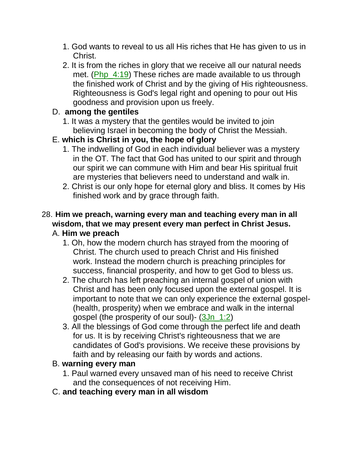- 1. God wants to reveal to us all His riches that He has given to us in Christ.
- 2. It is from the riches in glory that we receive all our natural needs met. (Php\_4:19) These riches are made available to us through the finished work of Christ and by the giving of His righteousness. Righteousness is God's legal right and opening to pour out His goodness and provision upon us freely.

### D. **among the gentiles**

1. It was a mystery that the gentiles would be invited to join believing Israel in becoming the body of Christ the Messiah.

## E. **which is Christ in you, the hope of glory**

- 1. The indwelling of God in each individual believer was a mystery in the OT. The fact that God has united to our spirit and through our spirit we can commune with Him and bear His spiritual fruit are mysteries that believers need to understand and walk in.
- 2. Christ is our only hope for eternal glory and bliss. It comes by His finished work and by grace through faith.

### 28. **Him we preach, warning every man and teaching every man in all wisdom, that we may present every man perfect in Christ Jesus.** A. **Him we preach**

- 1. Oh, how the modern church has strayed from the mooring of Christ. The church used to preach Christ and His finished work. Instead the modern church is preaching principles for success, financial prosperity, and how to get God to bless us.
- 2. The church has left preaching an internal gospel of union with Christ and has been only focused upon the external gospel. It is important to note that we can only experience the external gospel- (health, prosperity) when we embrace and walk in the internal gospel (the prosperity of our soul)- (3Jn\_1:2)
- 3. All the blessings of God come through the perfect life and death for us. It is by receiving Christ's righteousness that we are candidates of God's provisions. We receive these provisions by faith and by releasing our faith by words and actions.

## B. **warning every man**

- 1. Paul warned every unsaved man of his need to receive Christ and the consequences of not receiving Him.
- C. **and teaching every man in all wisdom**